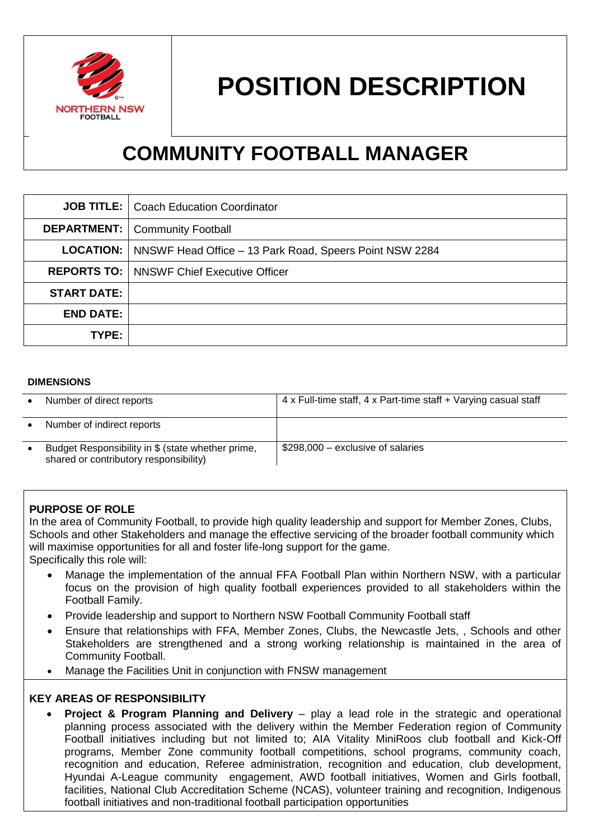

# **POSITION DESCRIPTION**

# **COMMUNITY FOOTBALL MANAGER**

|                    | <b>JOB TITLE:</b>   Coach Education Coordinator                            |
|--------------------|----------------------------------------------------------------------------|
|                    | <b>DEPARTMENT:</b>   Community Football                                    |
|                    | <b>LOCATION:</b>   NNSWF Head Office – 13 Park Road, Speers Point NSW 2284 |
|                    | <b>REPORTS TO:   NNSWF Chief Executive Officer</b>                         |
| <b>START DATE:</b> |                                                                            |
| <b>END DATE:</b>   |                                                                            |
| TYPE:              |                                                                            |

#### **DIMENSIONS**

| Number of direct reports                                                                    | 4 x Full-time staff, 4 x Part-time staff + Varying casual staff |
|---------------------------------------------------------------------------------------------|-----------------------------------------------------------------|
| Number of indirect reports                                                                  |                                                                 |
| Budget Responsibility in \$ (state whether prime,<br>shared or contributory responsibility) | \$298,000 - exclusive of salaries                               |

#### **PURPOSE OF ROLE**

In the area of Community Football, to provide high quality leadership and support for Member Zones, Clubs, Schools and other Stakeholders and manage the effective servicing of the broader football community which will maximise opportunities for all and foster life-long support for the game. Specifically this role will:

- Manage the implementation of the annual FFA Football Plan within Northern NSW, with a particular focus on the provision of high quality football experiences provided to all stakeholders within the Football Family.
- Provide leadership and support to Northern NSW Football Community Football staff
- Ensure that relationships with FFA, Member Zones, Clubs, the Newcastle Jets, , Schools and other Stakeholders are strengthened and a strong working relationship is maintained in the area of Community Football.
- Manage the Facilities Unit in conjunction with FNSW management

#### **KEY AREAS OF RESPONSIBILITY**

**Project & Program Planning and Delivery** – play a lead role in the strategic and operational planning process associated with the delivery within the Member Federation region of Community Football initiatives including but not limited to; AIA Vitality MiniRoos club football and Kick-Off programs, Member Zone community football competitions, school programs, community coach, recognition and education, Referee administration, recognition and education, club development, Hyundai A-League community engagement, AWD football initiatives, Women and Girls football, facilities, National Club Accreditation Scheme (NCAS), volunteer training and recognition, Indigenous football initiatives and non-traditional football participation opportunities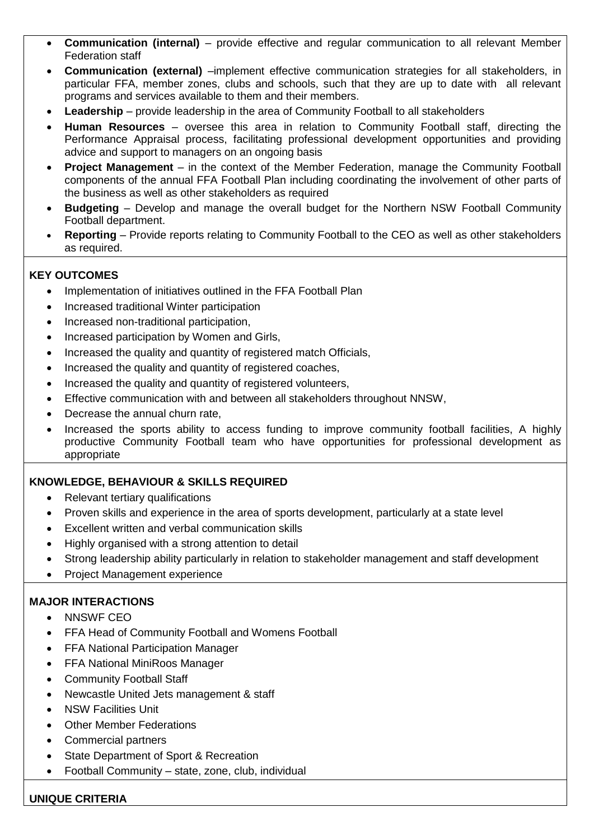- **Communication (internal)**  provide effective and regular communication to all relevant Member Federation staff
- **Communication (external)** –implement effective communication strategies for all stakeholders, in particular FFA, member zones, clubs and schools, such that they are up to date with all relevant programs and services available to them and their members.
- **Leadership**  provide leadership in the area of Community Football to all stakeholders
- **Human Resources**  oversee this area in relation to Community Football staff, directing the Performance Appraisal process, facilitating professional development opportunities and providing advice and support to managers on an ongoing basis
- **Project Management**  in the context of the Member Federation, manage the Community Football components of the annual FFA Football Plan including coordinating the involvement of other parts of the business as well as other stakeholders as required
- **Budgeting**  Develop and manage the overall budget for the Northern NSW Football Community Football department.
- **Reporting**  Provide reports relating to Community Football to the CEO as well as other stakeholders as required.

# **KEY OUTCOMES**

- Implementation of initiatives outlined in the FFA Football Plan
- Increased traditional Winter participation
- Increased non-traditional participation,
- Increased participation by Women and Girls,
- Increased the quality and quantity of registered match Officials,
- Increased the quality and quantity of registered coaches,
- Increased the quality and quantity of registered volunteers,
- Effective communication with and between all stakeholders throughout NNSW,
- Decrease the annual churn rate,
- Increased the sports ability to access funding to improve community football facilities, A highly productive Community Football team who have opportunities for professional development as appropriate

## **KNOWLEDGE, BEHAVIOUR & SKILLS REQUIRED**

- Relevant tertiary qualifications
- Proven skills and experience in the area of sports development, particularly at a state level
- Excellent written and verbal communication skills
- Highly organised with a strong attention to detail
- Strong leadership ability particularly in relation to stakeholder management and staff development
- Project Management experience

## **MAJOR INTERACTIONS**

- NNSWF CEO
- FFA Head of Community Football and Womens Football
- FFA National Participation Manager
- FFA National MiniRoos Manager
- Community Football Staff
- Newcastle United Jets management & staff
- NSW Facilities Unit
- Other Member Federations
- Commercial partners
- State Department of Sport & Recreation
- Football Community state, zone, club, individual

#### **UNIQUE CRITERIA**